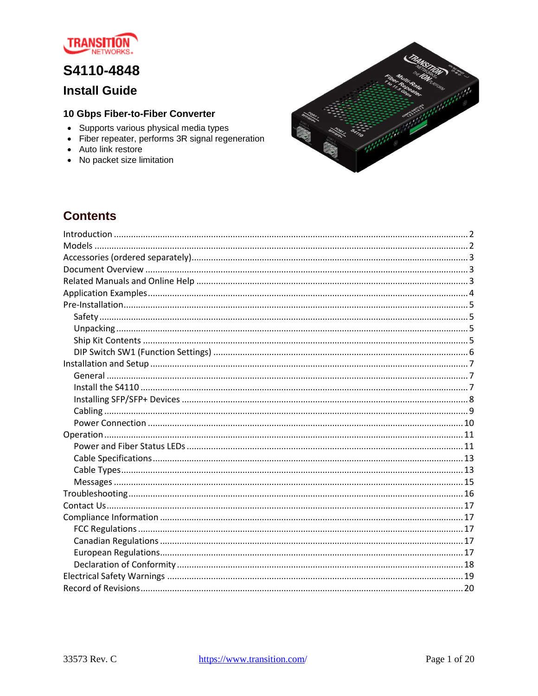

# S4110-4848

## **Install Guide**

### 10 Gbps Fiber-to-Fiber Converter

- Supports various physical media types
- Fiber repeater, performs 3R signal regeneration
- Auto link restore
- No packet size limitation



## **Contents**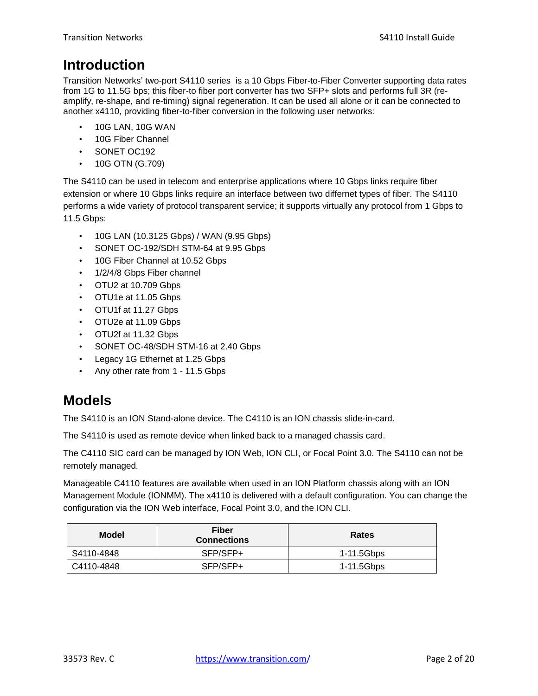# <span id="page-1-0"></span>**Introduction**

Transition Networks' two-port S4110 series is a 10 Gbps Fiber-to-Fiber Converter supporting data rates from 1G to 11.5G bps; this fiber-to fiber port converter has two SFP+ slots and performs full 3R (reamplify, re-shape, and re-timing) signal regeneration. It can be used all alone or it can be connected to another x4110, providing fiber-to-fiber conversion in the following user networks:

- 10G LAN, 10G WAN
- 10G Fiber Channel
- SONET OC192
- $\cdot$  10G OTN (G.709)

The S4110 can be used in telecom and enterprise applications where 10 Gbps links require fiber extension or where 10 Gbps links require an interface between two differnet types of fiber. The S4110 performs a wide variety of protocol transparent service; it supports virtually any protocol from 1 Gbps to 11.5 Gbps:

- 10G LAN (10.3125 Gbps) / WAN (9.95 Gbps)
- SONET OC-192/SDH STM-64 at 9.95 Gbps
- 10G Fiber Channel at 10.52 Gbps
- 1/2/4/8 Gbps Fiber channel
- OTU2 at 10.709 Gbps
- OTU1e at 11.05 Gbps
- OTU1f at 11.27 Gbps
- OTU2e at 11.09 Gbps
- OTU2f at 11.32 Gbps
- SONET OC-48/SDH STM-16 at 2.40 Gbps
- Legacy 1G Ethernet at 1.25 Gbps
- Any other rate from 1 11.5 Gbps

# <span id="page-1-1"></span>**Models**

The S4110 is an ION Stand-alone device. The C4110 is an ION chassis slide-in-card.

The S4110 is used as remote device when linked back to a managed chassis card.

The C4110 SIC card can be managed by ION Web, ION CLI, or Focal Point 3.0. The S4110 can not be remotely managed.

Manageable C4110 features are available when used in an ION Platform chassis along with an ION Management Module (IONMM). The x4110 is delivered with a default configuration. You can change the configuration via the ION Web interface, Focal Point 3.0, and the ION CLI.

| <b>Model</b> | Fiber<br><b>Connections</b> | <b>Rates</b> |
|--------------|-----------------------------|--------------|
| S4110-4848   | SFP/SFP+                    | 1-11.5Gbps   |
| C4110-4848   | SFP/SFP+                    | 1-11.5Gbps   |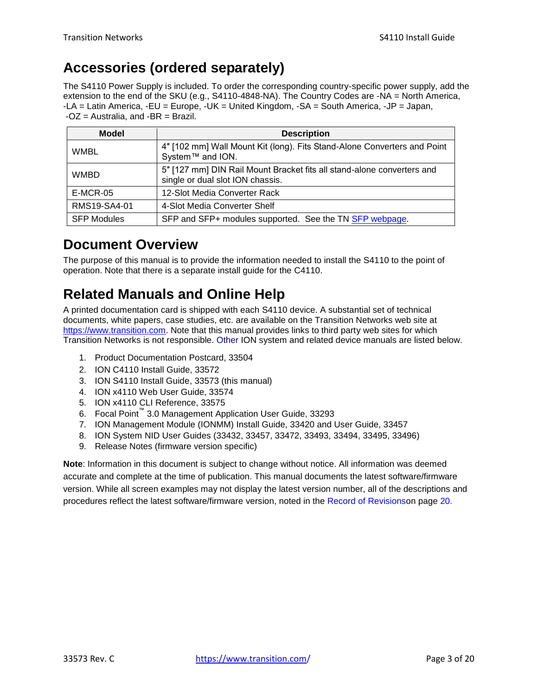# <span id="page-2-0"></span>**Accessories (ordered separately)**

The S4110 Power Supply is included. To order the corresponding country-specific power supply, add the extension to the end of the SKU (e.g., S4110-4848-NA). The Country Codes are -NA = North America, -LA = Latin America, -EU = Europe, -UK = United Kingdom, -SA = South America, -JP = Japan,  $-OZ =$  Australia, and  $-BR =$  Brazil.

| <b>Model</b>       | <b>Description</b>                                                                                         |
|--------------------|------------------------------------------------------------------------------------------------------------|
| <b>WMBL</b>        | 4" [102 mm] Wall Mount Kit (long). Fits Stand-Alone Converters and Point<br>System™ and ION.               |
| <b>WMBD</b>        | 5" [127 mm] DIN Rail Mount Bracket fits all stand-alone converters and<br>single or dual slot ION chassis. |
| E-MCR-05           | 12-Slot Media Converter Rack                                                                               |
| RMS19-SA4-01       | 4-Slot Media Converter Shelf                                                                               |
| <b>SFP Modules</b> | SFP and SFP+ modules supported. See the TN SFP webpage.                                                    |

# <span id="page-2-1"></span>**Document Overview**

The purpose of this manual is to provide the information needed to install the S4110 to the point of operation. Note that there is a separate install guide for the C4110.

# <span id="page-2-2"></span>**Related Manuals and Online Help**

A printed documentation card is shipped with each S4110 device. A substantial set of technical documents, white papers, case studies, etc. are available on the Transition Networks web site at [https://www.transition.com.](https://www.transition.com/) Note that this manual provides links to third party web sites for which Transition Networks is not responsible. Other ION system and related device manuals are listed below.

- 1. Product Documentation Postcard, 33504
- 2. ION C4110 Install Guide, 33572
- 3. ION S4110 Install Guide, 33573 (this manual)
- 4. ION x4110 Web User Guide, 33574
- 5. ION x4110 CLI Reference, 33575
- 6. Focal Point™ 3.0 Management Application User Guide, 33293
- 7. ION Management Module (IONMM) Install Guide, 33420 and User Guide, 33457
- 8. ION System NID User Guides (33432, 33457, 33472, 33493, 33494, 33495, 33496)
- 9. Release Notes (firmware version specific)

**Note**: Information in this document is subject to change without notice. All information was deemed accurate and complete at the time of publication. This manual documents the latest software/firmware version. While all screen examples may not display the latest version number, all of the descriptions and procedures reflect the latest software/firmware version, noted in the Record of Revisionson page [20.](#page-18-1)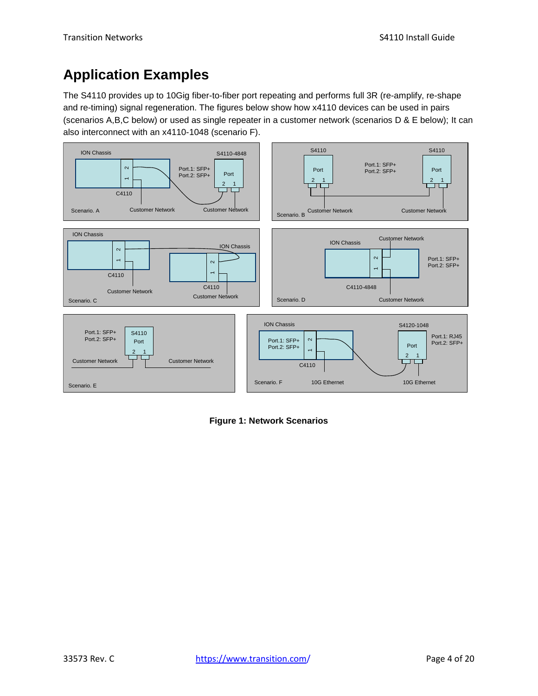# <span id="page-3-0"></span>**Application Examples**

The S4110 provides up to 10Gig fiber-to-fiber port repeating and performs full 3R (re-amplify, re-shape and re-timing) signal regeneration. The figures below show how x4110 devices can be used in pairs (scenarios A,B,C below) or used as single repeater in a customer network (scenarios D & E below); It can also interconnect with an x4110-1048 (scenario F).



**Figure 1: Network Scenarios**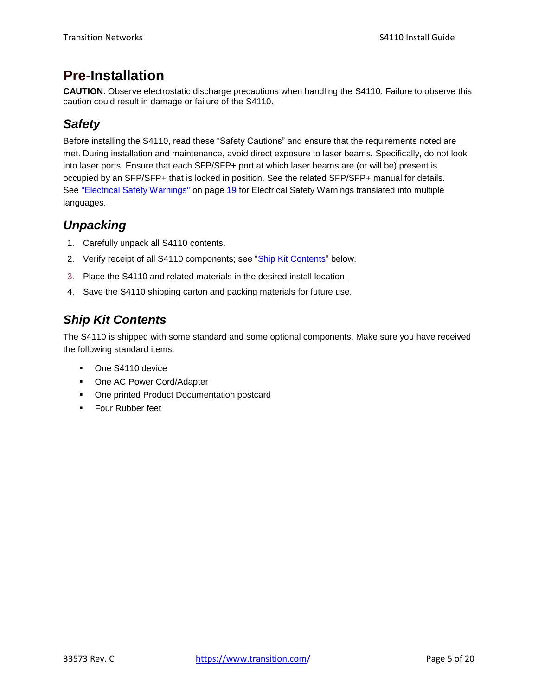# <span id="page-4-0"></span>**Pre-Installation**

**CAUTION**: Observe electrostatic discharge precautions when handling the S4110. Failure to observe this caution could result in damage or failure of the S4110.

## <span id="page-4-1"></span>*Safety*

Before installing the S4110, read these "Safety Cautions" and ensure that the requirements noted are met. During installation and maintenance, avoid direct exposure to laser beams. Specifically, do not look into laser ports. Ensure that each SFP/SFP+ port at which laser beams are (or will be) present is occupied by an SFP/SFP+ that is locked in position. See the related SFP/SFP+ manual for details. See "Electrical Safety Warnings" on page [19](#page-18-0) for Electrical Safety Warnings translated into multiple languages.

## <span id="page-4-2"></span>*Unpacking*

- 1. Carefully unpack all S4110 contents.
- 2. Verify receipt of all S4110 components; see "Ship Kit Contents" below.
- 3. Place the S4110 and related materials in the desired install location.
- 4. Save the S4110 shipping carton and packing materials for future use.

# <span id="page-4-3"></span>*Ship Kit Contents*

The S4110 is shipped with some standard and some optional components. Make sure you have received the following standard items:

- **Dividends** One S4110 device
- One AC Power Cord/Adapter
- **One printed Product Documentation postcard**
- **Four Rubber feet**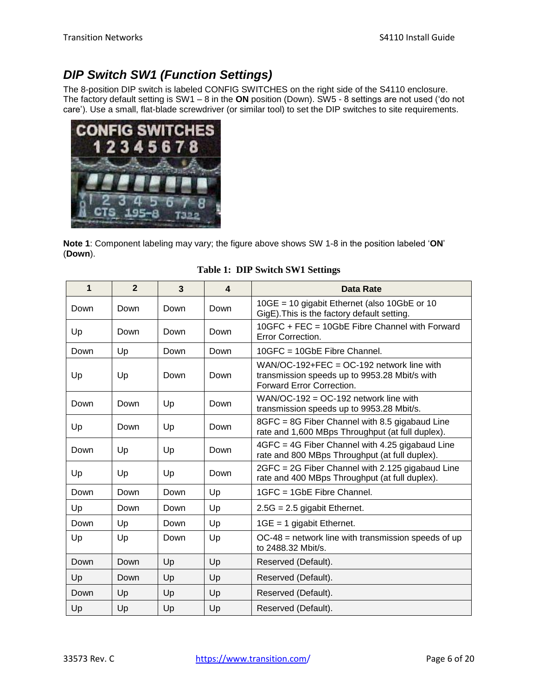# <span id="page-5-0"></span>*DIP Switch SW1 (Function Settings)*

The 8-position DIP switch is labeled CONFIG SWITCHES on the right side of the S4110 enclosure. The factory default setting is SW1 – 8 in the **ON** position (Down). SW5 - 8 settings are not used ('do not care'). Use a small, flat-blade screwdriver (or similar tool) to set the DIP switches to site requirements.



**Note 1**: Component labeling may vary; the figure above shows SW 1-8 in the position labeled '**ON**' (**Down**).

| 1    | $\overline{2}$ | 3    | $\overline{\mathbf{4}}$ | Data Rate                                                                                                                 |
|------|----------------|------|-------------------------|---------------------------------------------------------------------------------------------------------------------------|
| Down | Down           | Down | Down                    | 10GE = 10 gigabit Ethernet (also 10GbE or 10<br>GigE). This is the factory default setting.                               |
| Up   | Down           | Down | Down                    | 10GFC + FEC = 10GbE Fibre Channel with Forward<br>Error Correction.                                                       |
| Down | Up             | Down | Down                    | $10GFC = 10GbE$ Fibre Channel.                                                                                            |
| Up   | Up             | Down | Down                    | WAN/OC-192+FEC = $OC-192$ network line with<br>transmission speeds up to 9953.28 Mbit/s with<br>Forward Error Correction. |
| Down | Down           | Up   | Down                    | WAN/OC-192 = $OC-192$ network line with<br>transmission speeds up to 9953.28 Mbit/s.                                      |
| Up   | Down           | Up   | Down                    | 8GFC = 8G Fiber Channel with 8.5 gigabaud Line<br>rate and 1,600 MBps Throughput (at full duplex).                        |
| Down | Up             | Up   | Down                    | 4GFC = 4G Fiber Channel with 4.25 gigabaud Line<br>rate and 800 MBps Throughput (at full duplex).                         |
| Up   | Up             | Up   | Down                    | 2GFC = 2G Fiber Channel with 2.125 gigabaud Line<br>rate and 400 MBps Throughput (at full duplex).                        |
| Down | Down           | Down | Up                      | 1GFC = 1GbE Fibre Channel.                                                                                                |
| Up   | Down           | Down | Up                      | $2.5G = 2.5$ gigabit Ethernet.                                                                                            |
| Down | Up             | Down | Up                      | $1GE = 1$ gigabit Ethernet.                                                                                               |
| Up   | Up             | Down | Up                      | $OC-48$ = network line with transmission speeds of up<br>to 2488.32 Mbit/s.                                               |
| Down | Down           | Up   | Up                      | Reserved (Default).                                                                                                       |
| Up   | Down           | Up   | Up                      | Reserved (Default).                                                                                                       |
| Down | Up             | Up   | Up                      | Reserved (Default).                                                                                                       |
| Up   | Up             | Up   | Up                      | Reserved (Default).                                                                                                       |

#### **Table 1: DIP Switch SW1 Settings**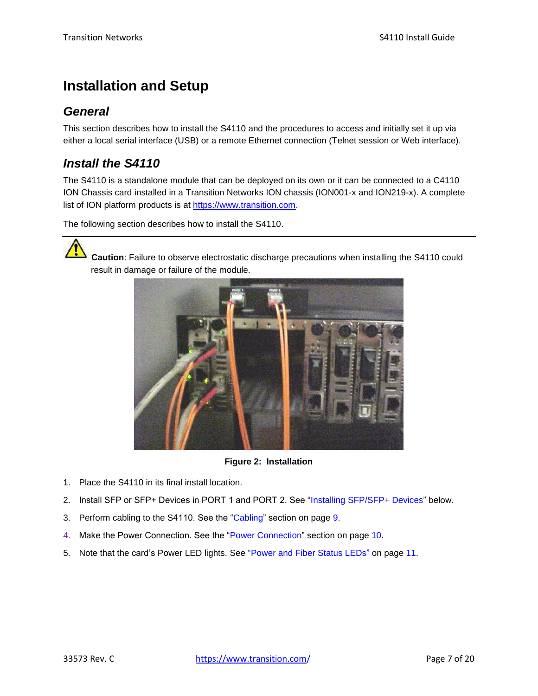# <span id="page-6-0"></span>**Installation and Setup**

## <span id="page-6-1"></span>*General*

This section describes how to install the S4110 and the procedures to access and initially set it up via either a local serial interface (USB) or a remote Ethernet connection (Telnet session or Web interface).

## <span id="page-6-2"></span>*Install the S4110*

The S4110 is a standalone module that can be deployed on its own or it can be connected to a C4110 ION Chassis card installed in a Transition Networks ION chassis (ION001-x and ION219-x). A complete list of ION platform products is at [https://www.transition.com.](https://www.transition.com/)

The following section describes how to install the S4110.



**Caution**: Failure to observe electrostatic discharge precautions when installing the S4110 could result in damage or failure of the module.



**Figure 2: Installation**

- 1. Place the S4110 in its final install location.
- 2. Install SFP or SFP+ Devices in PORT 1 and PORT 2. See "Installing SFP/SFP+ Devices" below.
- 3. Perform cabling to the S4110. See the ["Cabling"](#page-8-0) section on page [9.](#page-8-0)
- 4. Make the Power Connection. See the ["Power Connection"](#page-9-0) section on page [10.](#page-9-0)
- 5. Note that the card's Power LED lights. See ["Power and Fiber Status LEDs"](#page-10-1) on page [11.](#page-10-1)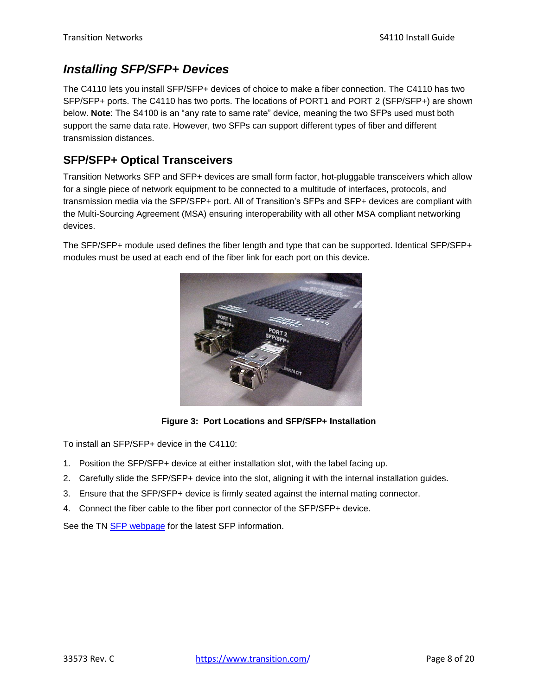## <span id="page-7-0"></span>*Installing SFP/SFP+ Devices*

The C4110 lets you install SFP/SFP+ devices of choice to make a fiber connection. The C4110 has two SFP/SFP+ ports. The C4110 has two ports. The locations of PORT1 and PORT 2 (SFP/SFP+) are shown below. **Note**: The S4100 is an "any rate to same rate" device, meaning the two SFPs used must both support the same data rate. However, two SFPs can support different types of fiber and different transmission distances.

## **SFP/SFP+ Optical Transceivers**

Transition Networks SFP and SFP+ devices are small form factor, hot-pluggable transceivers which allow for a single piece of network equipment to be connected to a multitude of interfaces, protocols, and transmission media via the SFP/SFP+ port. All of Transition's SFPs and SFP+ devices are compliant with the Multi-Sourcing Agreement (MSA) ensuring interoperability with all other MSA compliant networking devices.

The SFP/SFP+ module used defines the fiber length and type that can be supported. Identical SFP/SFP+ modules must be used at each end of the fiber link for each port on this device.



**Figure 3: Port Locations and SFP/SFP+ Installation**

To install an SFP/SFP+ device in the C4110:

- 1. Position the SFP/SFP+ device at either installation slot, with the label facing up.
- 2. Carefully slide the SFP/SFP+ device into the slot, aligning it with the internal installation guides.
- 3. Ensure that the SFP/SFP+ device is firmly seated against the internal mating connector.
- 4. Connect the fiber cable to the fiber port connector of the SFP/SFP+ device.

See the TN [SFP webpage](https://www.transition.com/lines/optical-devices/?fwp_platform=platform-sfp.) for the latest SFP information.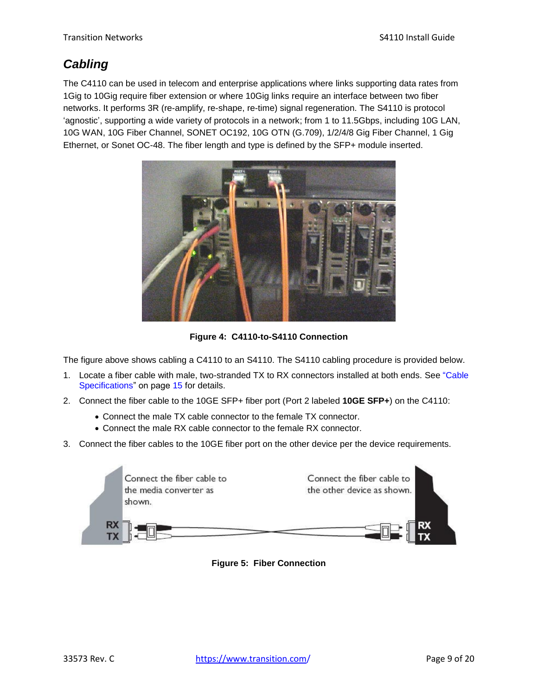## <span id="page-8-0"></span>*Cabling*

The C4110 can be used in telecom and enterprise applications where links supporting data rates from 1Gig to 10Gig require fiber extension or where 10Gig links require an interface between two fiber networks. It performs 3R (re-amplify, re-shape, re-time) signal regeneration. The S4110 is protocol 'agnostic', supporting a wide variety of protocols in a network; from 1 to 11.5Gbps, including 10G LAN, 10G WAN, 10G Fiber Channel, SONET OC192, 10G OTN (G.709), 1/2/4/8 Gig Fiber Channel, 1 Gig Ethernet, or Sonet OC-48. The fiber length and type is defined by the SFP+ module inserted.



**Figure 4: C4110-to-S4110 Connection**

The figure above shows cabling a C4110 to an S4110. The S4110 cabling procedure is provided below.

- 1. Locate a fiber cable with male, two-stranded TX to RX connectors installed at both ends. See "Cable Specifications" on page 15 for details.
- 2. Connect the fiber cable to the 10GE SFP+ fiber port (Port 2 labeled **10GE SFP+**) on the C4110:
	- Connect the male TX cable connector to the female TX connector.
	- Connect the male RX cable connector to the female RX connector.
- 3. Connect the fiber cables to the 10GE fiber port on the other device per the device requirements.



**Figure 5: Fiber Connection**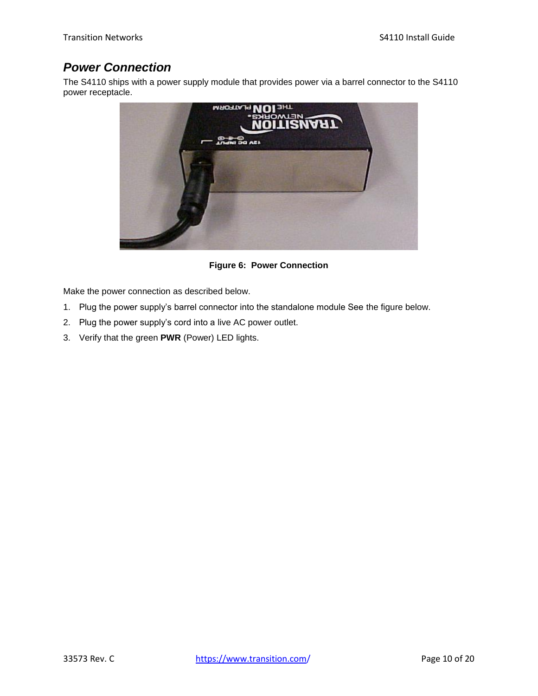## <span id="page-9-0"></span>*Power Connection*

The S4110 ships with a power supply module that provides power via a barrel connector to the S4110 power receptacle.



**Figure 6: Power Connection**

Make the power connection as described below.

- 1. Plug the power supply's barrel connector into the standalone module See the figure below.
- 2. Plug the power supply's cord into a live AC power outlet.
- 3. Verify that the green **PWR** (Power) LED lights.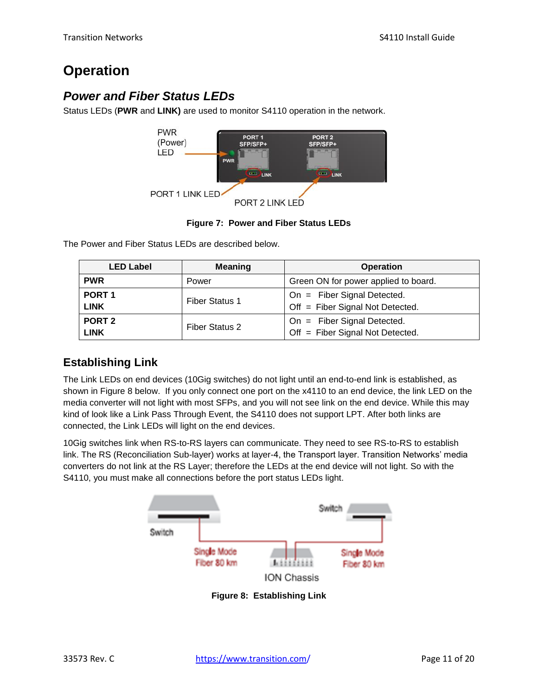# <span id="page-10-0"></span>**Operation**

## <span id="page-10-1"></span>*Power and Fiber Status LEDs*

Status LEDs (**PWR** and **LINK)** are used to monitor S4110 operation in the network.





The Power and Fiber Status LEDs are described below.

| <b>LED Label</b>  | <b>Meaning</b>        | <b>Operation</b>                     |  |
|-------------------|-----------------------|--------------------------------------|--|
| <b>PWR</b>        | Power                 | Green ON for power applied to board. |  |
| PORT <sub>1</sub> | <b>Fiber Status 1</b> | On = Fiber Signal Detected.          |  |
| <b>LINK</b>       |                       | Off = Fiber Signal Not Detected.     |  |
| PORT <sub>2</sub> | Fiber Status 2        | On = Fiber Signal Detected.          |  |
| <b>LINK</b>       |                       | Off = Fiber Signal Not Detected.     |  |

## **Establishing Link**

The Link LEDs on end devices (10Gig switches) do not light until an end-to-end link is established, as shown in Figure 8 below. If you only connect one port on the x4110 to an end device, the link LED on the media converter will not light with most SFPs, and you will not see link on the end device. While this may kind of look like a Link Pass Through Event, the S4110 does not support LPT. After both links are connected, the Link LEDs will light on the end devices.

10Gig switches link when RS-to-RS layers can communicate. They need to see RS-to-RS to establish link. The RS (Reconciliation Sub-layer) works at layer-4, the Transport layer. Transition Networks' media converters do not link at the RS Layer; therefore the LEDs at the end device will not light. So with the S4110, you must make all connections before the port status LEDs light.



**Figure 8: Establishing Link**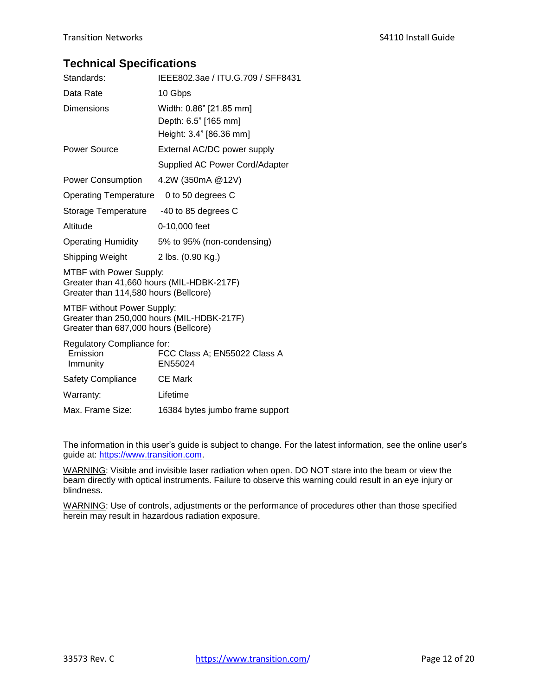### **Technical Specifications**

| Standards:                                                                                                               | IEEE802.3ae / ITU.G.709 / SFF8431                                          |
|--------------------------------------------------------------------------------------------------------------------------|----------------------------------------------------------------------------|
| Data Rate                                                                                                                | 10 Gbps                                                                    |
| Dimensions                                                                                                               | Width: 0.86" [21.85 mm]<br>Depth: 6.5" [165 mm]<br>Height: 3.4" [86.36 mm] |
| Power Source                                                                                                             | External AC/DC power supply<br>Supplied AC Power Cord/Adapter              |
| <b>Power Consumption</b>                                                                                                 | 4.2W (350mA @12V)                                                          |
| <b>Operating Temperature</b>                                                                                             | 0 to 50 degrees C                                                          |
| Storage Temperature                                                                                                      | -40 to 85 degrees C                                                        |
| Altitude                                                                                                                 | 0-10,000 feet                                                              |
| <b>Operating Humidity</b>                                                                                                | 5% to 95% (non-condensing)                                                 |
| Shipping Weight                                                                                                          | 2 lbs. (0.90 Kg.)                                                          |
| <b>MTBF with Power Supply:</b><br>Greater than 41,660 hours (MIL-HDBK-217F)<br>Greater than 114,580 hours (Bellcore)     |                                                                            |
| <b>MTBF without Power Supply:</b><br>Greater than 250,000 hours (MIL-HDBK-217F)<br>Greater than 687,000 hours (Bellcore) |                                                                            |
| Regulatory Compliance for:<br>Emission<br>Immunity                                                                       | FCC Class A; EN55022 Class A<br>EN55024                                    |
| <b>Safety Compliance</b>                                                                                                 | <b>CE Mark</b>                                                             |
| Warranty:                                                                                                                | Lifetime                                                                   |
| Max. Frame Size:                                                                                                         | 16384 bytes jumbo frame support                                            |

The information in this user's guide is subject to change. For the latest information, see the online user's guide at: [https://www.transition.com.](https://www.transition.com/)

WARNING: Visible and invisible laser radiation when open. DO NOT stare into the beam or view the beam directly with optical instruments. Failure to observe this warning could result in an eye injury or blindness.

WARNING: Use of controls, adjustments or the performance of procedures other than those specified herein may result in hazardous radiation exposure.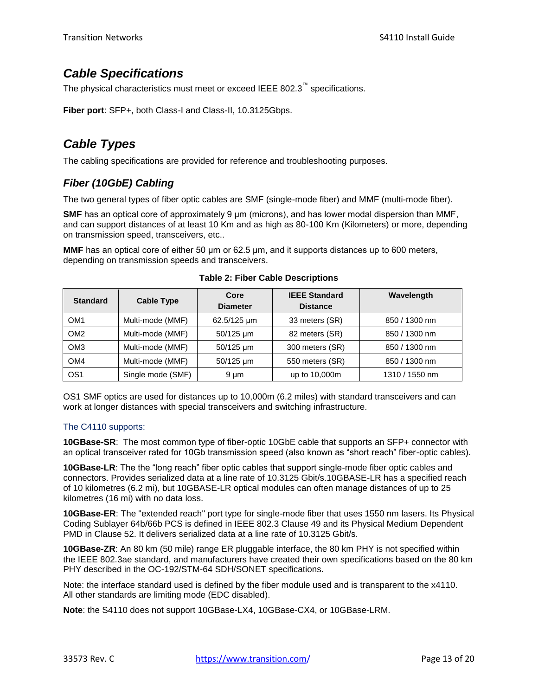## <span id="page-12-0"></span>*Cable Specifications*

The physical characteristics must meet or exceed IEEE 802.3™ specifications.

**Fiber port**: SFP+, both Class-I and Class-II, 10.3125Gbps.

## <span id="page-12-1"></span>*Cable Types*

The cabling specifications are provided for reference and troubleshooting purposes.

### *Fiber (10GbE) Cabling*

The two general types of fiber optic cables are SMF (single-mode fiber) and MMF (multi-mode fiber).

**SMF** has an optical core of approximately 9 μm (microns), and has lower modal dispersion than MMF, and can support distances of at least 10 Km and as high as 80-100 Km (Kilometers) or more, depending on transmission speed, transceivers, etc..

**MMF** has an optical core of either 50 μm or 62.5 μm, and it supports distances up to 600 meters, depending on transmission speeds and transceivers.

| <b>Standard</b> | <b>Cable Type</b> | Core<br><b>Diameter</b> | <b>IEEE Standard</b><br><b>Distance</b> | Wavelength     |
|-----------------|-------------------|-------------------------|-----------------------------------------|----------------|
| OM <sub>1</sub> | Multi-mode (MMF)  | 62.5/125 um             | 33 meters (SR)                          | 850 / 1300 nm  |
| OM <sub>2</sub> | Multi-mode (MMF)  | 50/125 um               | 82 meters (SR)                          | 850 / 1300 nm  |
| OM <sub>3</sub> | Multi-mode (MMF)  | 50/125 um               | 300 meters (SR)                         | 850 / 1300 nm  |
| OM4             | Multi-mode (MMF)  | 50/125 um               | 550 meters (SR)                         | 850 / 1300 nm  |
| OS <sub>1</sub> | Single mode (SMF) | $9 \mu m$               | up to 10,000m                           | 1310 / 1550 nm |

**Table 2: Fiber Cable Descriptions**

OS1 SMF optics are used for distances up to 10,000m (6.2 miles) with standard transceivers and can work at longer distances with special transceivers and switching infrastructure.

### The C4110 supports:

**10GBase-SR**: The most common type of fiber-optic 10GbE cable that supports an SFP+ connector with an optical transceiver rated for 10Gb transmission speed (also known as "short reach" fiber-optic cables).

**10GBase-LR**: The the "long reach" fiber optic cables that support single-mode fiber optic cables and connectors. Provides serialized data at a line rate of 10.3125 Gbit/s.10GBASE-LR has a specified reach of 10 kilometres (6.2 mi), but 10GBASE-LR optical modules can often manage distances of up to 25 kilometres (16 mi) with no data loss.

**10GBase-ER**: The "extended reach" port type for single-mode fiber that uses 1550 nm lasers. Its Physical Coding Sublayer 64b/66b PCS is defined in IEEE 802.3 Clause 49 and its Physical Medium Dependent PMD in Clause 52. It delivers serialized data at a line rate of 10.3125 Gbit/s.

**10GBase-ZR**: An 80 km (50 mile) range ER pluggable interface, the 80 km PHY is not specified within the IEEE 802.3ae standard, and manufacturers have created their own specifications based on the 80 km PHY described in the OC-192/STM-64 SDH/SONET specifications.

Note: the interface standard used is defined by the fiber module used and is transparent to the x4110. All other standards are limiting mode (EDC disabled).

**Note**: the S4110 does not support 10GBase-LX4, 10GBase-CX4, or 10GBase-LRM.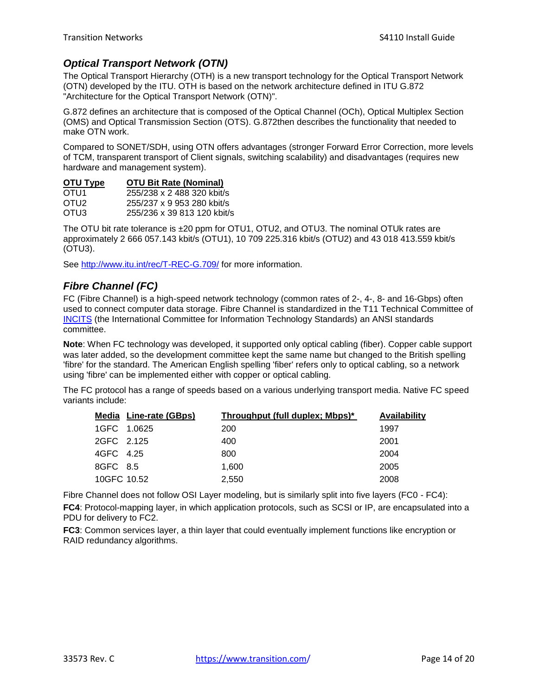### *Optical Transport Network (OTN)*

The Optical Transport Hierarchy (OTH) is a new transport technology for the Optical Transport Network (OTN) developed by the ITU. OTH is based on the network architecture defined in ITU G.872 "Architecture for the Optical Transport Network (OTN)".

G.872 defines an architecture that is composed of the Optical Channel (OCh), Optical Multiplex Section (OMS) and Optical Transmission Section (OTS). G.872then describes the functionality that needed to make OTN work.

Compared to SONET/SDH, using OTN offers advantages (stronger Forward Error Correction, more levels of TCM, transparent transport of Client signals, switching scalability) and disadvantages (requires new hardware and management system).

#### **OTU Type OTU Bit Rate (Nominal)**

| OTU1             | 255/238 x 2 488 320 kbit/s  |
|------------------|-----------------------------|
| OTU <sub>2</sub> | 255/237 x 9 953 280 kbit/s  |
| OTU3             | 255/236 x 39 813 120 kbit/s |

The OTU bit rate tolerance is ±20 ppm for OTU1, OTU2, and OTU3. The nominal OTUk rates are approximately 2 666 057.143 kbit/s (OTU1), 10 709 225.316 kbit/s (OTU2) and 43 018 413.559 kbit/s (OTU3).

See<http://www.itu.int/rec/T-REC-G.709/> for more information.

### *Fibre Channel (FC)*

FC (Fibre Channel) is a high-speed network technology (common rates of 2-, 4-, 8- and 16-Gbps) often used to connect computer data storage. Fibre Channel is standardized in the T11 Technical Committee of [INCITS](http://www.incits.org/) (the International Committee for Information Technology Standards) an ANSI standards committee.

**Note**: When FC technology was developed, it supported only optical cabling (fiber). Copper cable support was later added, so the development committee kept the same name but changed to the British spelling 'fibre' for the standard. The American English spelling 'fiber' refers only to optical cabling, so a network using 'fibre' can be implemented either with copper or optical cabling.

The FC protocol has a range of speeds based on a various underlying transport media. Native FC speed variants include:

|             | <b>Media Line-rate (GBps)</b> | Throughput (full duplex; Mbps)* | Availability |
|-------------|-------------------------------|---------------------------------|--------------|
| 1GFC 1.0625 |                               | 200                             | 1997         |
| 2GFC 2.125  |                               | 400                             | 2001         |
| 4GFC 4.25   |                               | 800                             | 2004         |
| 8GFC 8.5    |                               | 1.600                           | 2005         |
| 10GFC 10.52 |                               | 2.550                           | 2008         |

Fibre Channel does not follow OSI Layer modeling, but is similarly split into five layers (FC0 - FC4):

**FC4**: Protocol-mapping layer, in which application protocols, such as SCSI or IP, are encapsulated into a PDU for delivery to FC2.

**FC3**: Common services layer, a thin layer that could eventually implement functions like encryption or RAID redundancy algorithms.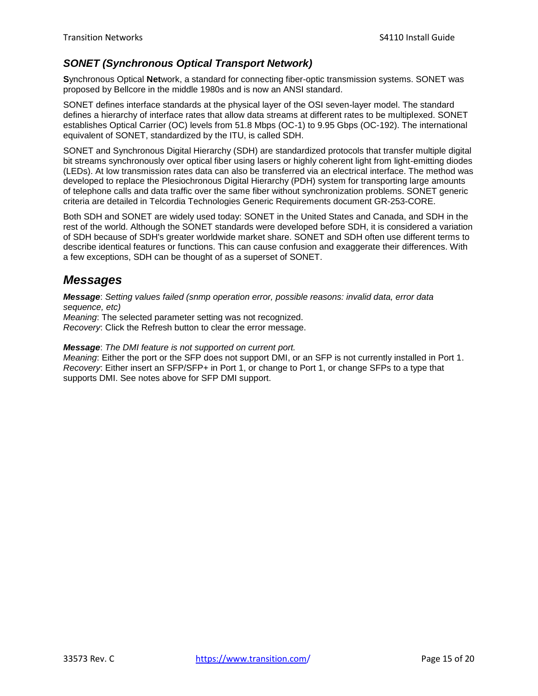### *SONET (Synchronous Optical Transport Network)*

**S**ynchronous Optical **Net**work, a standard for connecting fiber-optic transmission systems. SONET was proposed by Bellcore in the middle 1980s and is now an ANSI standard.

SONET defines interface standards at the physical layer of the OSI seven-layer model. The standard defines a hierarchy of interface rates that allow data streams at different rates to be multiplexed. SONET establishes Optical Carrier (OC) levels from 51.8 Mbps (OC-1) to 9.95 Gbps (OC-192). The international equivalent of SONET, standardized by the ITU, is called SDH.

SONET and Synchronous Digital Hierarchy (SDH) are standardized protocols that transfer multiple digital bit streams synchronously over optical fiber using lasers or highly coherent light from light-emitting diodes (LEDs). At low transmission rates data can also be transferred via an electrical interface. The method was developed to replace the Plesiochronous Digital Hierarchy (PDH) system for transporting large amounts of telephone calls and data traffic over the same fiber without synchronization problems. SONET generic criteria are detailed in Telcordia Technologies Generic Requirements document GR-253-CORE.

Both SDH and SONET are widely used today: SONET in the United States and Canada, and SDH in the rest of the world. Although the SONET standards were developed before SDH, it is considered a variation of SDH because of SDH's greater worldwide market share. SONET and SDH often use different terms to describe identical features or functions. This can cause confusion and exaggerate their differences. With a few exceptions, SDH can be thought of as a superset of SONET.

## <span id="page-14-0"></span>*Messages*

*Message*: *Setting values failed (snmp operation error, possible reasons: invalid data, error data sequence, etc)*

*Meaning*: The selected parameter setting was not recognized. *Recovery*: Click the Refresh button to clear the error message.

*Message*: *The DMI feature is not supported on current port.*

*Meaning*: Either the port or the SFP does not support DMI, or an SFP is not currently installed in Port 1. *Recovery*: Either insert an SFP/SFP+ in Port 1, or change to Port 1, or change SFPs to a type that supports DMI. See notes above for SFP DMI support.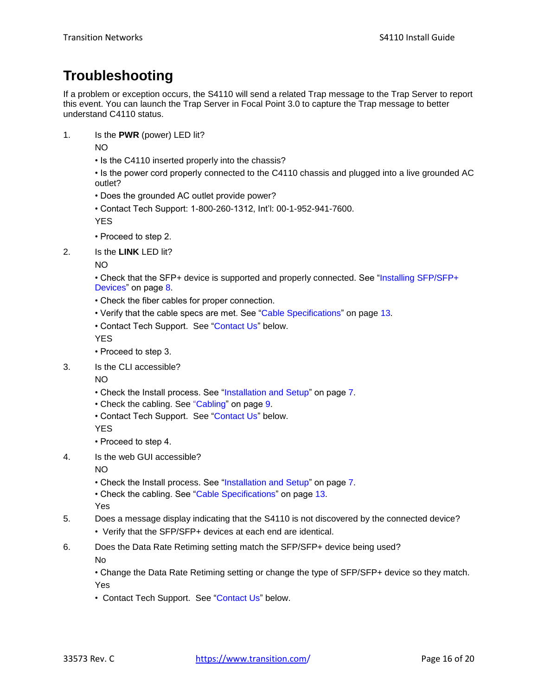# <span id="page-15-0"></span>**Troubleshooting**

If a problem or exception occurs, the S4110 will send a related Trap message to the Trap Server to report this event. You can launch the Trap Server in Focal Point 3.0 to capture the Trap message to better understand C4110 status.

1. Is the **PWR** (power) LED lit?

NO

• Is the C4110 inserted properly into the chassis?

• Is the power cord properly connected to the C4110 chassis and plugged into a live grounded AC outlet?

- Does the grounded AC outlet provide power?
- Contact Tech Support: 1-800-260-1312, Int'l: 00-1-952-941-7600.

YES

- Proceed to step 2.
- 2. Is the **LINK** LED lit?

NO

- Check that the SFP+ device is supported and properly connected. See ["Installing SFP/SFP+](#page-7-0) [Devices"](#page-7-0) on page [8.](#page-7-0)
- Check the fiber cables for proper connection.
- Verify that the cable specs are met. See ["Cable Specifications"](#page-12-0) on page [13.](#page-12-0)
- Contact Tech Support. See "Contact Us" below.

YES

- Proceed to step 3.
- 3. Is the CLI accessible?

NO

- Check the Install process. See ["Installation and](#page-6-0) Setup" on pag[e 7.](#page-6-0)
- Check the cabling. See ["Cabling"](#page-8-0) on page [9.](#page-8-0)
- Contact Tech Support. See "Contact Us" below.

YES

- Proceed to step 4.
- 4. Is the web GUI accessible?

NO

- Check the Install process. See ["Installation and](#page-6-0) Setup" on pag[e 7.](#page-6-0)
- Check the cabling. See ["Cable Specifications"](#page-12-0) on page [13.](#page-12-0)

Yes

- 5. Does a message display indicating that the S4110 is not discovered by the connected device?
	- Verify that the SFP/SFP+ devices at each end are identical.
- 6. Does the Data Rate Retiming setting match the SFP/SFP+ device being used?

No

• Change the Data Rate Retiming setting or change the type of SFP/SFP+ device so they match. Yes

• Contact Tech Support. See "Contact Us" below.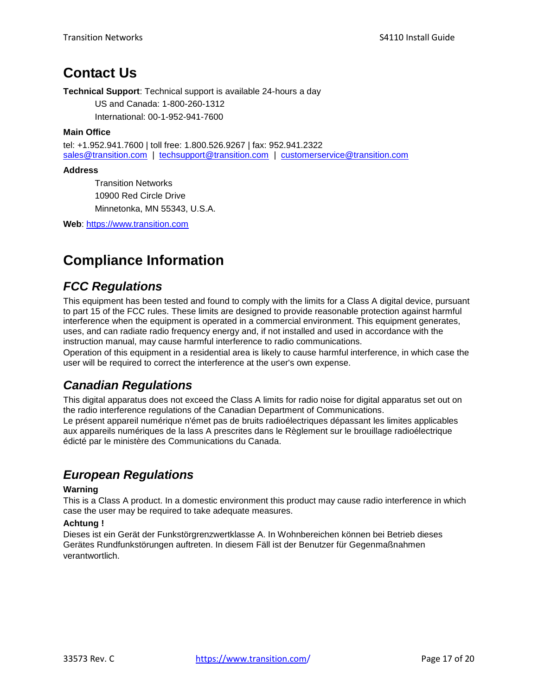# <span id="page-16-0"></span>**Contact Us**

**Technical Support**: Technical support is available 24-hours a day

US and Canada: 1-800-260-1312 International: 00-1-952-941-7600

#### **Main Office**

tel: +1.952.941.7600 | toll free: 1.800.526.9267 | fax: 952.941.2322 [sales@transition.com](mailto:sales@transition.com) | [techsupport@transition.com](mailto:techsupport@transition.com) | [customerservice@transition.com](mailto:customerservice@transition.com)

#### **Address**

Transition Networks 10900 Red Circle Drive Minnetonka, MN 55343, U.S.A.

**Web**: [https://www.transition.com](https://www.transition.com/) 

# <span id="page-16-1"></span>**Compliance Information**

## <span id="page-16-2"></span>*FCC Regulations*

This equipment has been tested and found to comply with the limits for a Class A digital device, pursuant to part 15 of the FCC rules. These limits are designed to provide reasonable protection against harmful interference when the equipment is operated in a commercial environment. This equipment generates, uses, and can radiate radio frequency energy and, if not installed and used in accordance with the instruction manual, may cause harmful interference to radio communications.

Operation of this equipment in a residential area is likely to cause harmful interference, in which case the user will be required to correct the interference at the user's own expense.

## <span id="page-16-3"></span>*Canadian Regulations*

This digital apparatus does not exceed the Class A limits for radio noise for digital apparatus set out on the radio interference regulations of the Canadian Department of Communications. Le présent appareil numérique n'émet pas de bruits radioélectriques dépassant les limites applicables aux appareils numériques de la lass A prescrites dans le Règlement sur le brouillage radioélectrique édicté par le ministère des Communications du Canada.

# <span id="page-16-4"></span>*European Regulations*

#### **Warning**

This is a Class A product. In a domestic environment this product may cause radio interference in which case the user may be required to take adequate measures.

#### **Achtung !**

Dieses ist ein Gerät der Funkstörgrenzwertklasse A. In Wohnbereichen können bei Betrieb dieses Gerätes Rundfunkstörungen auftreten. In diesem Fäll ist der Benutzer für Gegenmaßnahmen verantwortlich.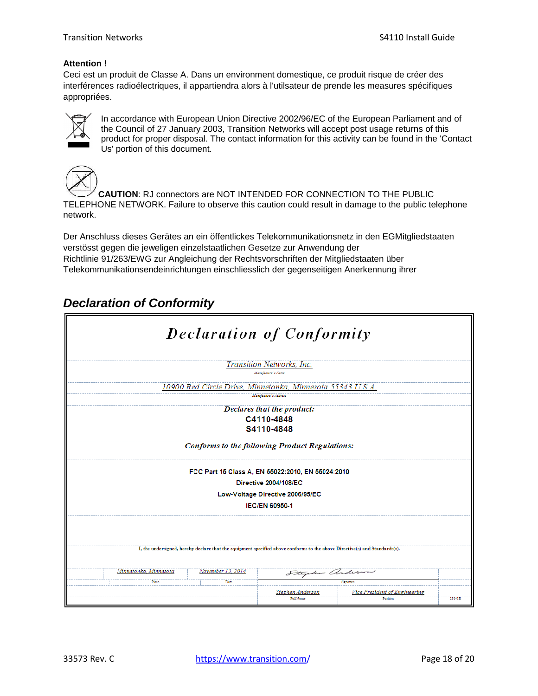#### **Attention !**

Ceci est un produit de Classe A. Dans un environment domestique, ce produit risque de créer des interférences radioélectriques, il appartiendra alors à l'utilsateur de prende les measures spécifiques appropriées.



In accordance with European Union Directive 2002/96/EC of the European Parliament and of the Council of 27 January 2003, Transition Networks will accept post usage returns of this product for proper disposal. The contact information for this activity can be found in the 'Contact Us' portion of this document.



**CAUTION**: RJ connectors are NOT INTENDED FOR CONNECTION TO THE PUBLIC TELEPHONE NETWORK. Failure to observe this caution could result in damage to the public telephone network.

Der Anschluss dieses Gerätes an ein öffentlickes Telekommunikationsnetz in den EGMitgliedstaaten verstösst gegen die jeweligen einzelstaatlichen Gesetze zur Anwendung der Richtlinie 91/263/EWG zur Angleichung der Rechtsvorschriften der Mitgliedstaaten über Telekommunikationsendeinrichtungen einschliesslich der gegenseitigen Anerkennung ihrer

## <span id="page-17-0"></span>*Declaration of Conformity*

| <b>Declaration of Conformity</b>                                                                                                        |                                                                                                                 |                                           |         |
|-----------------------------------------------------------------------------------------------------------------------------------------|-----------------------------------------------------------------------------------------------------------------|-------------------------------------------|---------|
|                                                                                                                                         | Transition Networks, Inc.<br>Manufacture's Name                                                                 |                                           |         |
| 10900 Red Circle Drive, Minnetonka, Minnesota 55343 U.S.A.                                                                              | Manufacture's Address                                                                                           |                                           |         |
|                                                                                                                                         | Declares that the product:<br>C4110-4848<br>S4110-4848<br><b>Conforms to the following Product Regulations:</b> |                                           |         |
| FCC Part 15 Class A, EN 55022:2010, EN 55024:2010<br>Directive 2004/108/EC<br>Low-Voltage Directive 2006/95/EC<br><b>IEC/EN 60950-1</b> |                                                                                                                 |                                           |         |
| I, the undersigned, hereby declare that the equipment specified above conforms to the above Directive(s) and Standards(s).              |                                                                                                                 |                                           |         |
| November 13, 2014<br>Minnetonka, Minnesota<br>Place<br>Date                                                                             | Stycker anderson<br>Stevhen Anderson<br>rull Name                                                               | Simature<br>Vice President of Engineering | 2814115 |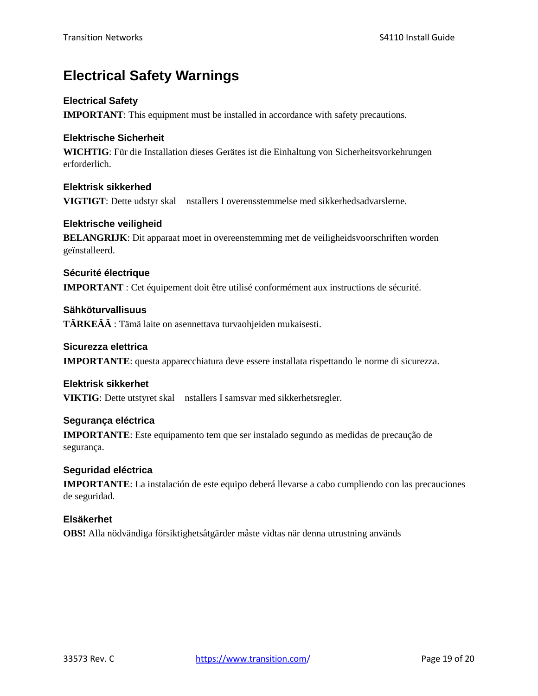# <span id="page-18-0"></span>**Electrical Safety Warnings**

### **Electrical Safety**

**IMPORTANT**: This equipment must be installed in accordance with safety precautions.

### **Elektrische Sicherheit**

**WICHTIG**: Für die Installation dieses Gerätes ist die Einhaltung von Sicherheitsvorkehrungen erforderlich.

**Elektrisk sikkerhed VIGTIGT**: Dette udstyr skal nstallers I overensstemmelse med sikkerhedsadvarslerne.

#### **Elektrische veiligheid**

**BELANGRIJK**: Dit apparaat moet in overeenstemming met de veiligheidsvoorschriften worden geïnstalleerd.

**Sécurité électrique IMPORTANT** : Cet équipement doit être utilisé conformément aux instructions de sécurité.

**Sähköturvallisuus TÄRKEÄÄ** : Tämä laite on asennettava turvaohjeiden mukaisesti.

### **Sicurezza elettrica IMPORTANTE**: questa apparecchiatura deve essere installata rispettando le norme di sicurezza.

### **Elektrisk sikkerhet**

**VIKTIG**: Dette utstyret skal nstallers I samsvar med sikkerhetsregler.

### **Segurança eléctrica**

**IMPORTANTE**: Este equipamento tem que ser instalado segundo as medidas de precaução de segurança.

### **Seguridad eléctrica**

**IMPORTANTE**: La instalación de este equipo deberá llevarse a cabo cumpliendo con las precauciones de seguridad.

### **Elsäkerhet**

<span id="page-18-1"></span>**OBS!** Alla nödvändiga försiktighetsåtgärder måste vidtas när denna utrustning används